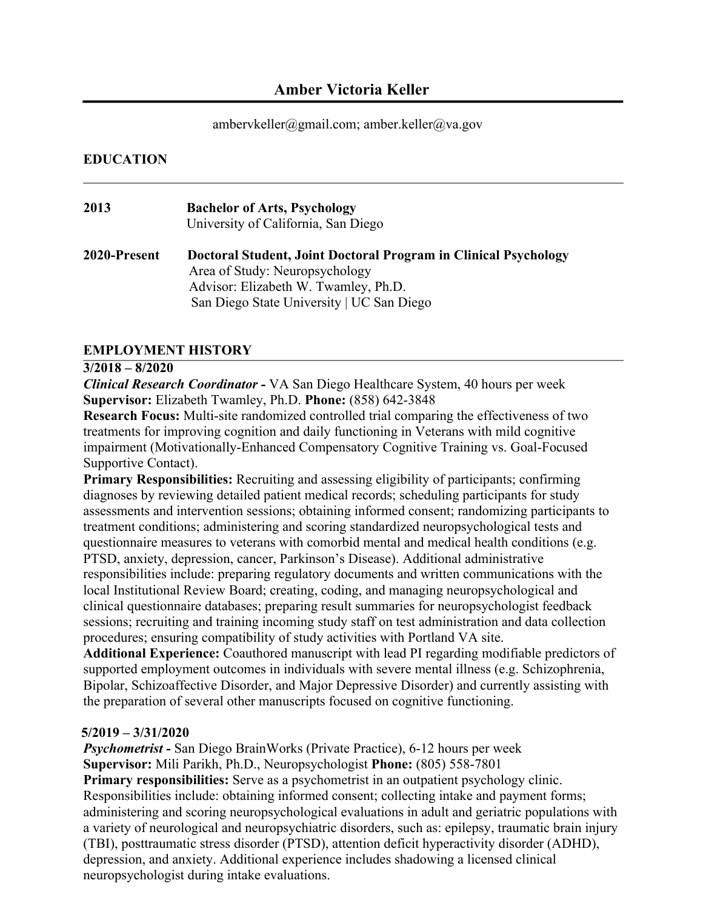# **Amber Victoria Keller**

### ambervkeller@gmail.com; amber.keller@va.gov

### **EDUCATION**

| 2013         | <b>Bachelor of Arts, Psychology</b><br>University of California, San Diego                                                                                                             |
|--------------|----------------------------------------------------------------------------------------------------------------------------------------------------------------------------------------|
| 2020-Present | Doctoral Student, Joint Doctoral Program in Clinical Psychology<br>Area of Study: Neuropsychology<br>Advisor: Elizabeth W. Twamley, Ph.D.<br>San Diego State University   UC San Diego |

## **EMPLOYMENT HISTORY**

#### **3/2018 – 8/2020**

*Clinical Research Coordinator -* VA San Diego Healthcare System, 40 hours per week **Supervisor:** Elizabeth Twamley, Ph.D. **Phone:** (858) 642-3848

**Research Focus:** Multi-site randomized controlled trial comparing the effectiveness of two treatments for improving cognition and daily functioning in Veterans with mild cognitive impairment (Motivationally-Enhanced Compensatory Cognitive Training vs. Goal-Focused Supportive Contact).

**Primary Responsibilities:** Recruiting and assessing eligibility of participants; confirming diagnoses by reviewing detailed patient medical records; scheduling participants for study assessments and intervention sessions; obtaining informed consent; randomizing participants to treatment conditions; administering and scoring standardized neuropsychological tests and questionnaire measures to veterans with comorbid mental and medical health conditions (e.g. PTSD, anxiety, depression, cancer, Parkinson's Disease). Additional administrative responsibilities include: preparing regulatory documents and written communications with the local Institutional Review Board; creating, coding, and managing neuropsychological and clinical questionnaire databases; preparing result summaries for neuropsychologist feedback sessions; recruiting and training incoming study staff on test administration and data collection procedures; ensuring compatibility of study activities with Portland VA site.

**Additional Experience:** Coauthored manuscript with lead PI regarding modifiable predictors of supported employment outcomes in individuals with severe mental illness (e.g. Schizophrenia, Bipolar, Schizoaffective Disorder, and Major Depressive Disorder) and currently assisting with the preparation of several other manuscripts focused on cognitive functioning.

### **5/2019 – 3/31/2020**

*Psychometrist -* San Diego BrainWorks (Private Practice), 6-12 hours per week **Supervisor:** Mili Parikh, Ph.D., Neuropsychologist **Phone:** (805) 558-7801 **Primary responsibilities:** Serve as a psychometrist in an outpatient psychology clinic. Responsibilities include: obtaining informed consent; collecting intake and payment forms; administering and scoring neuropsychological evaluations in adult and geriatric populations with a variety of neurological and neuropsychiatric disorders, such as: epilepsy, traumatic brain injury (TBI), posttraumatic stress disorder (PTSD), attention deficit hyperactivity disorder (ADHD), depression, and anxiety. Additional experience includes shadowing a licensed clinical neuropsychologist during intake evaluations.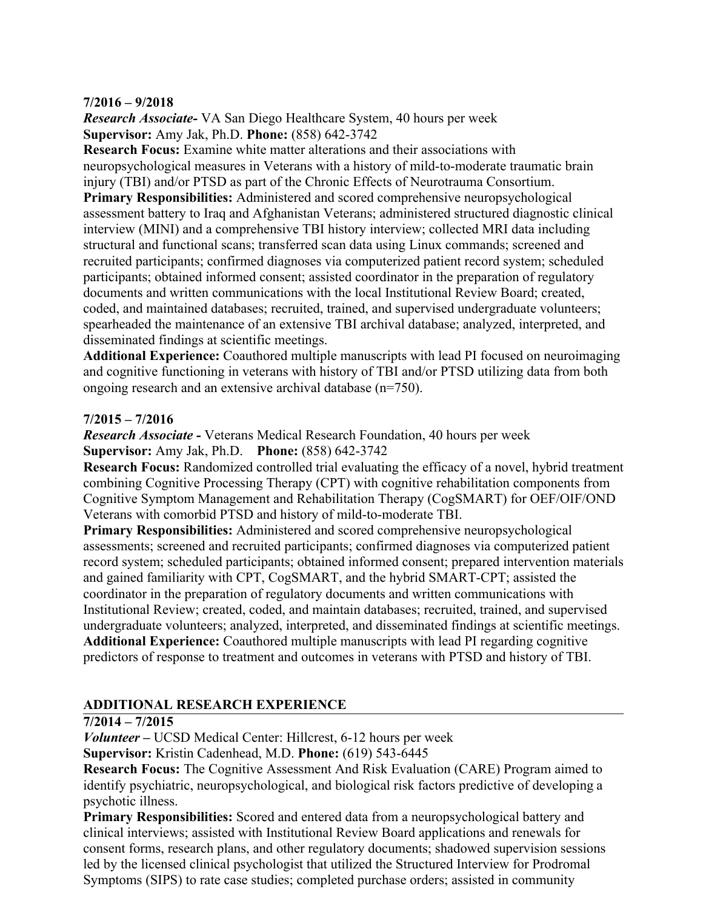## **7/2016 – 9/2018**

*Research Associate-* VA San Diego Healthcare System, 40 hours per week **Supervisor:** Amy Jak, Ph.D. **Phone:** (858) 642-3742

**Research Focus:** Examine white matter alterations and their associations with neuropsychological measures in Veterans with a history of mild-to-moderate traumatic brain injury (TBI) and/or PTSD as part of the Chronic Effects of Neurotrauma Consortium.

**Primary Responsibilities:** Administered and scored comprehensive neuropsychological assessment battery to Iraq and Afghanistan Veterans; administered structured diagnostic clinical interview (MINI) and a comprehensive TBI history interview; collected MRI data including structural and functional scans; transferred scan data using Linux commands; screened and recruited participants; confirmed diagnoses via computerized patient record system; scheduled participants; obtained informed consent; assisted coordinator in the preparation of regulatory documents and written communications with the local Institutional Review Board; created, coded, and maintained databases; recruited, trained, and supervised undergraduate volunteers; spearheaded the maintenance of an extensive TBI archival database; analyzed, interpreted, and disseminated findings at scientific meetings.

**Additional Experience:** Coauthored multiple manuscripts with lead PI focused on neuroimaging and cognitive functioning in veterans with history of TBI and/or PTSD utilizing data from both ongoing research and an extensive archival database (n=750).

## **7/2015 – 7/2016**

*Research Associate -* Veterans Medical Research Foundation, 40 hours per week **Supervisor:** Amy Jak, Ph.D. **Phone:** (858) 642-3742

**Research Focus:** Randomized controlled trial evaluating the efficacy of a novel, hybrid treatment combining Cognitive Processing Therapy (CPT) with cognitive rehabilitation components from Cognitive Symptom Management and Rehabilitation Therapy (CogSMART) for OEF/OIF/OND Veterans with comorbid PTSD and history of mild-to-moderate TBI.

**Primary Responsibilities:** Administered and scored comprehensive neuropsychological assessments; screened and recruited participants; confirmed diagnoses via computerized patient record system; scheduled participants; obtained informed consent; prepared intervention materials and gained familiarity with CPT, CogSMART, and the hybrid SMART-CPT; assisted the coordinator in the preparation of regulatory documents and written communications with Institutional Review; created, coded, and maintain databases; recruited, trained, and supervised undergraduate volunteers; analyzed, interpreted, and disseminated findings at scientific meetings. **Additional Experience:** Coauthored multiple manuscripts with lead PI regarding cognitive predictors of response to treatment and outcomes in veterans with PTSD and history of TBI.

## **ADDITIONAL RESEARCH EXPERIENCE**

### **7/2014 – 7/2015**

*Volunteer –* UCSD Medical Center: Hillcrest, 6-12 hours per week

**Supervisor:** Kristin Cadenhead, M.D. **Phone:** (619) 543-6445

**Research Focus:** The Cognitive Assessment And Risk Evaluation (CARE) Program aimed to identify psychiatric, neuropsychological, and biological risk factors predictive of developing a psychotic illness.

**Primary Responsibilities:** Scored and entered data from a neuropsychological battery and clinical interviews; assisted with Institutional Review Board applications and renewals for consent forms, research plans, and other regulatory documents; shadowed supervision sessions led by the licensed clinical psychologist that utilized the Structured Interview for Prodromal Symptoms (SIPS) to rate case studies; completed purchase orders; assisted in community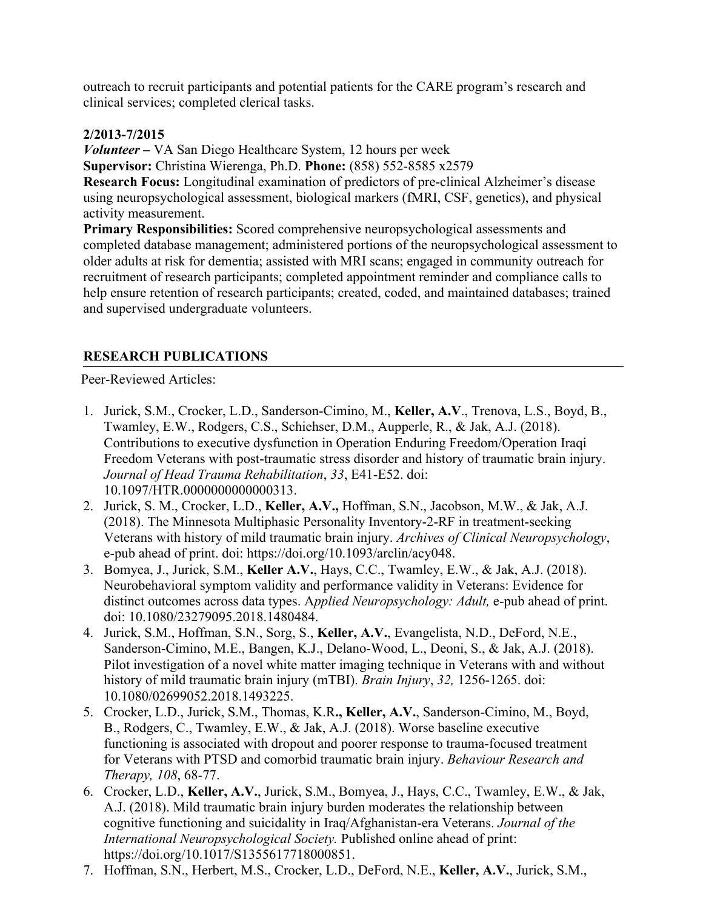outreach to recruit participants and potential patients for the CARE program's research and clinical services; completed clerical tasks.

## **2/2013-7/2015**

*Volunteer –* VA San Diego Healthcare System, 12 hours per week **Supervisor:** Christina Wierenga, Ph.D. **Phone:** (858) 552-8585 x2579 **Research Focus:** Longitudinal examination of predictors of pre-clinical Alzheimer's disease using neuropsychological assessment, biological markers (fMRI, CSF, genetics), and physical activity measurement.

**Primary Responsibilities:** Scored comprehensive neuropsychological assessments and completed database management; administered portions of the neuropsychological assessment to older adults at risk for dementia; assisted with MRI scans; engaged in community outreach for recruitment of research participants; completed appointment reminder and compliance calls to help ensure retention of research participants; created, coded, and maintained databases; trained and supervised undergraduate volunteers.

## **RESEARCH PUBLICATIONS**

Peer-Reviewed Articles:

- 1. Jurick, S.M., Crocker, L.D., Sanderson-Cimino, M., **Keller, A.V**., Trenova, L.S., Boyd, B., Twamley, E.W., Rodgers, C.S., Schiehser, D.M., Aupperle, R., & Jak, A.J. (2018). Contributions to executive dysfunction in Operation Enduring Freedom/Operation Iraqi Freedom Veterans with post-traumatic stress disorder and history of traumatic brain injury. *Journal of Head Trauma Rehabilitation*, *33*, E41-E52. doi: 10.1097/HTR.0000000000000313.
- 2. Jurick, S. M., Crocker, L.D., **Keller, A.V.,** Hoffman, S.N., Jacobson, M.W., & Jak, A.J. (2018). The Minnesota Multiphasic Personality Inventory-2-RF in treatment-seeking Veterans with history of mild traumatic brain injury. *Archives of Clinical Neuropsychology*, e-pub ahead of print. doi: https://doi.org/10.1093/arclin/acy048.
- 3. Bomyea, J., Jurick, S.M., **Keller A.V.**, Hays, C.C., Twamley, E.W., & Jak, A.J. (2018). Neurobehavioral symptom validity and performance validity in Veterans: Evidence for distinct outcomes across data types. A*pplied Neuropsychology: Adult,* e-pub ahead of print. doi: 10.1080/23279095.2018.1480484.
- 4. Jurick, S.M., Hoffman, S.N., Sorg, S., **Keller, A.V.**, Evangelista, N.D., DeFord, N.E., Sanderson-Cimino, M.E., Bangen, K.J., Delano-Wood, L., Deoni, S., & Jak, A.J. (2018). Pilot investigation of a novel white matter imaging technique in Veterans with and without history of mild traumatic brain injury (mTBI). *Brain Injury*, *32,* 1256-1265. doi: 10.1080/02699052.2018.1493225.
- 5. Crocker, L.D., Jurick, S.M., Thomas, K.R**., Keller, A.V.**, Sanderson-Cimino, M., Boyd, B., Rodgers, C., Twamley, E.W., & Jak, A.J. (2018). Worse baseline executive functioning is associated with dropout and poorer response to trauma-focused treatment for Veterans with PTSD and comorbid traumatic brain injury. *Behaviour Research and Therapy, 108*, 68-77.
- 6. Crocker, L.D., **Keller, A.V.**, Jurick, S.M., Bomyea, J., Hays, C.C., Twamley, E.W., & Jak, A.J. (2018). Mild traumatic brain injury burden moderates the relationship between cognitive functioning and suicidality in Iraq/Afghanistan-era Veterans. *Journal of the International Neuropsychological Society.* Published online ahead of print: https://doi.org/10.1017/S1355617718000851.
- 7. Hoffman, S.N., Herbert, M.S., Crocker, L.D., DeFord, N.E., **Keller, A.V.**, Jurick, S.M.,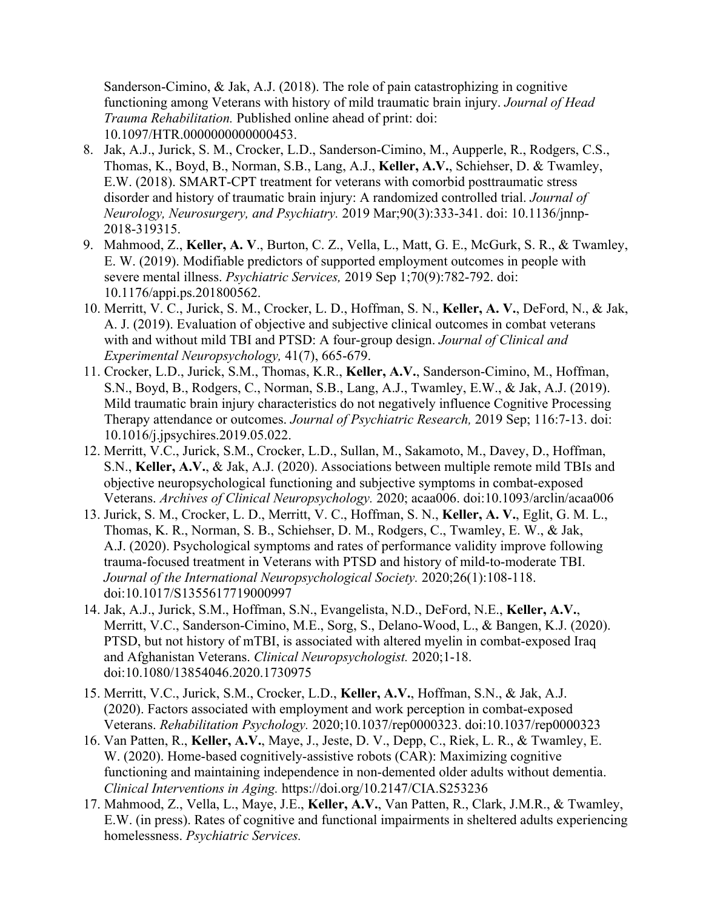Sanderson-Cimino, & Jak, A.J. (2018). The role of pain catastrophizing in cognitive functioning among Veterans with history of mild traumatic brain injury. *Journal of Head Trauma Rehabilitation.* Published online ahead of print: doi: 10.1097/HTR.0000000000000453.

- 8. Jak, A.J., Jurick, S. M., Crocker, L.D., Sanderson-Cimino, M., Aupperle, R., Rodgers, C.S., Thomas, K., Boyd, B., Norman, S.B., Lang, A.J., **Keller, A.V.**, Schiehser, D. & Twamley, E.W. (2018). SMART-CPT treatment for veterans with comorbid posttraumatic stress disorder and history of traumatic brain injury: A randomized controlled trial. *Journal of Neurology, Neurosurgery, and Psychiatry.* 2019 Mar;90(3):333-341. doi: 10.1136/jnnp-2018-319315.
- 9. Mahmood, Z., **Keller, A. V**., Burton, C. Z., Vella, L., Matt, G. E., McGurk, S. R., & Twamley, E. W. (2019). Modifiable predictors of supported employment outcomes in people with severe mental illness. *Psychiatric Services,* 2019 Sep 1;70(9):782-792. doi: 10.1176/appi.ps.201800562.
- 10. Merritt, V. C., Jurick, S. M., Crocker, L. D., Hoffman, S. N., **Keller, A. V.**, DeFord, N., & Jak, A. J. (2019). Evaluation of objective and subjective clinical outcomes in combat veterans with and without mild TBI and PTSD: A four-group design. *Journal of Clinical and Experimental Neuropsychology,* 41(7), 665-679.
- 11. Crocker, L.D., Jurick, S.M., Thomas, K.R., **Keller, A.V.**, Sanderson-Cimino, M., Hoffman, S.N., Boyd, B., Rodgers, C., Norman, S.B., Lang, A.J., Twamley, E.W., & Jak, A.J. (2019). Mild traumatic brain injury characteristics do not negatively influence Cognitive Processing Therapy attendance or outcomes. *Journal of Psychiatric Research,* 2019 Sep; 116:7-13. doi: 10.1016/j.jpsychires.2019.05.022.
- 12. Merritt, V.C., Jurick, S.M., Crocker, L.D., Sullan, M., Sakamoto, M., Davey, D., Hoffman, S.N., **Keller, A.V.**, & Jak, A.J. (2020). Associations between multiple remote mild TBIs and objective neuropsychological functioning and subjective symptoms in combat-exposed Veterans. *Archives of Clinical Neuropsychology.* 2020; acaa006. doi:10.1093/arclin/acaa006
- 13. Jurick, S. M., Crocker, L. D., Merritt, V. C., Hoffman, S. N., **Keller, A. V.**, Eglit, G. M. L., Thomas, K. R., Norman, S. B., Schiehser, D. M., Rodgers, C., Twamley, E. W., & Jak, A.J. (2020). Psychological symptoms and rates of performance validity improve following trauma-focused treatment in Veterans with PTSD and history of mild-to-moderate TBI. *Journal of the International Neuropsychological Society.* 2020;26(1):108‐118. doi:10.1017/S1355617719000997
- 14. Jak, A.J., Jurick, S.M., Hoffman, S.N., Evangelista, N.D., DeFord, N.E., **Keller, A.V.**, Merritt, V.C., Sanderson-Cimino, M.E., Sorg, S., Delano-Wood, L., & Bangen, K.J. (2020). PTSD, but not history of mTBI, is associated with altered myelin in combat-exposed Iraq and Afghanistan Veterans. *Clinical Neuropsychologist.* 2020;1‐18. doi:10.1080/13854046.2020.1730975
- 15. Merritt, V.C., Jurick, S.M., Crocker, L.D., **Keller, A.V.**, Hoffman, S.N., & Jak, A.J. (2020). Factors associated with employment and work perception in combat-exposed Veterans. *Rehabilitation Psychology.* 2020;10.1037/rep0000323. doi:10.1037/rep0000323
- 16. Van Patten, R., **Keller, A.V.**, Maye, J., Jeste, D. V., Depp, C., Riek, L. R., & Twamley, E. W. (2020). Home-based cognitively-assistive robots (CAR): Maximizing cognitive functioning and maintaining independence in non-demented older adults without dementia. *Clinical Interventions in Aging.* https://doi.org/10.2147/CIA.S253236
- 17. Mahmood, Z., Vella, L., Maye, J.E., **Keller, A.V.**, Van Patten, R., Clark, J.M.R., & Twamley, E.W. (in press). Rates of cognitive and functional impairments in sheltered adults experiencing homelessness. *Psychiatric Services.*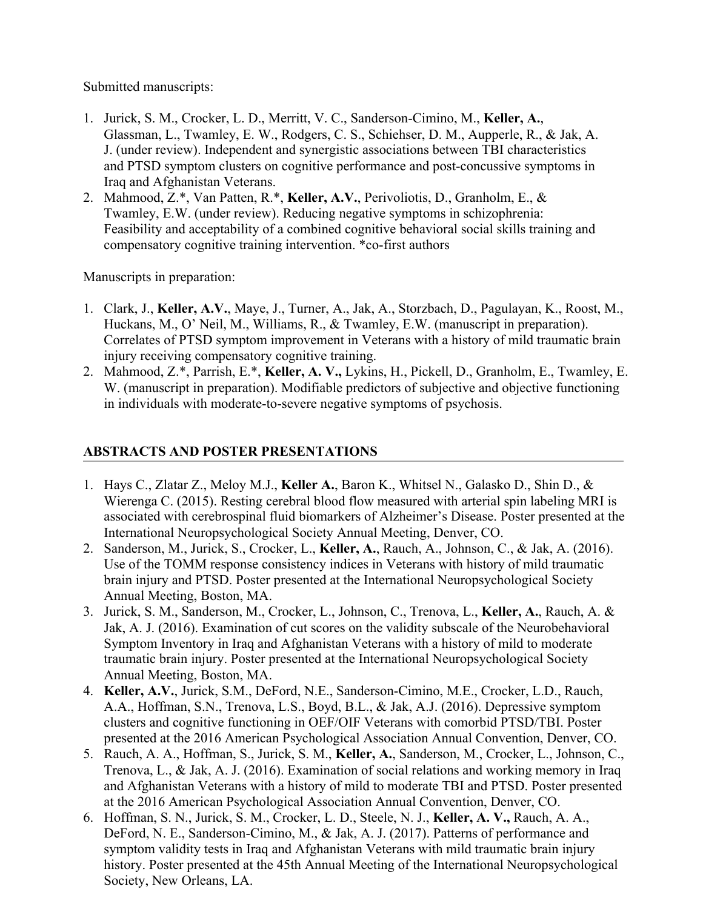Submitted manuscripts:

- 1. Jurick, S. M., Crocker, L. D., Merritt, V. C., Sanderson-Cimino, M., **Keller, A.**, Glassman, L., Twamley, E. W., Rodgers, C. S., Schiehser, D. M., Aupperle, R., & Jak, A. J. (under review). Independent and synergistic associations between TBI characteristics and PTSD symptom clusters on cognitive performance and post-concussive symptoms in Iraq and Afghanistan Veterans.
- 2. Mahmood, Z.\*, Van Patten, R.\*, **Keller, A.V.**, Perivoliotis, D., Granholm, E., & Twamley, E.W. (under review). Reducing negative symptoms in schizophrenia: Feasibility and acceptability of a combined cognitive behavioral social skills training and compensatory cognitive training intervention. \*co-first authors

Manuscripts in preparation:

- 1. Clark, J., **Keller, A.V.**, Maye, J., Turner, A., Jak, A., Storzbach, D., Pagulayan, K., Roost, M., Huckans, M., O' Neil, M., Williams, R., & Twamley, E.W. (manuscript in preparation). Correlates of PTSD symptom improvement in Veterans with a history of mild traumatic brain injury receiving compensatory cognitive training.
- 2. Mahmood, Z.\*, Parrish, E.\*, **Keller, A. V.,** Lykins, H., Pickell, D., Granholm, E., Twamley, E. W. (manuscript in preparation). Modifiable predictors of subjective and objective functioning in individuals with moderate-to-severe negative symptoms of psychosis.

# **ABSTRACTS AND POSTER PRESENTATIONS**

- 1. Hays C., Zlatar Z., Meloy M.J., **Keller A.**, Baron K., Whitsel N., Galasko D., Shin D., & Wierenga C. (2015). Resting cerebral blood flow measured with arterial spin labeling MRI is associated with cerebrospinal fluid biomarkers of Alzheimer's Disease. Poster presented at the International Neuropsychological Society Annual Meeting, Denver, CO.
- 2. Sanderson, M., Jurick, S., Crocker, L., **Keller, A.**, Rauch, A., Johnson, C., & Jak, A. (2016). Use of the TOMM response consistency indices in Veterans with history of mild traumatic brain injury and PTSD. Poster presented at the International Neuropsychological Society Annual Meeting, Boston, MA.
- 3. Jurick, S. M., Sanderson, M., Crocker, L., Johnson, C., Trenova, L., **Keller, A.**, Rauch, A. & Jak, A. J. (2016). Examination of cut scores on the validity subscale of the Neurobehavioral Symptom Inventory in Iraq and Afghanistan Veterans with a history of mild to moderate traumatic brain injury. Poster presented at the International Neuropsychological Society Annual Meeting, Boston, MA.
- 4. **Keller, A.V.**, Jurick, S.M., DeFord, N.E., Sanderson-Cimino, M.E., Crocker, L.D., Rauch, A.A., Hoffman, S.N., Trenova, L.S., Boyd, B.L., & Jak, A.J. (2016). Depressive symptom clusters and cognitive functioning in OEF/OIF Veterans with comorbid PTSD/TBI. Poster presented at the 2016 American Psychological Association Annual Convention, Denver, CO.
- 5. Rauch, A. A., Hoffman, S., Jurick, S. M., **Keller, A.**, Sanderson, M., Crocker, L., Johnson, C., Trenova, L., & Jak, A. J. (2016). Examination of social relations and working memory in Iraq and Afghanistan Veterans with a history of mild to moderate TBI and PTSD. Poster presented at the 2016 American Psychological Association Annual Convention, Denver, CO.
- 6. Hoffman, S. N., Jurick, S. M., Crocker, L. D., Steele, N. J., **Keller, A. V.,** Rauch, A. A., DeFord, N. E., Sanderson-Cimino, M., & Jak, A. J. (2017). Patterns of performance and symptom validity tests in Iraq and Afghanistan Veterans with mild traumatic brain injury history. Poster presented at the 45th Annual Meeting of the International Neuropsychological Society, New Orleans, LA.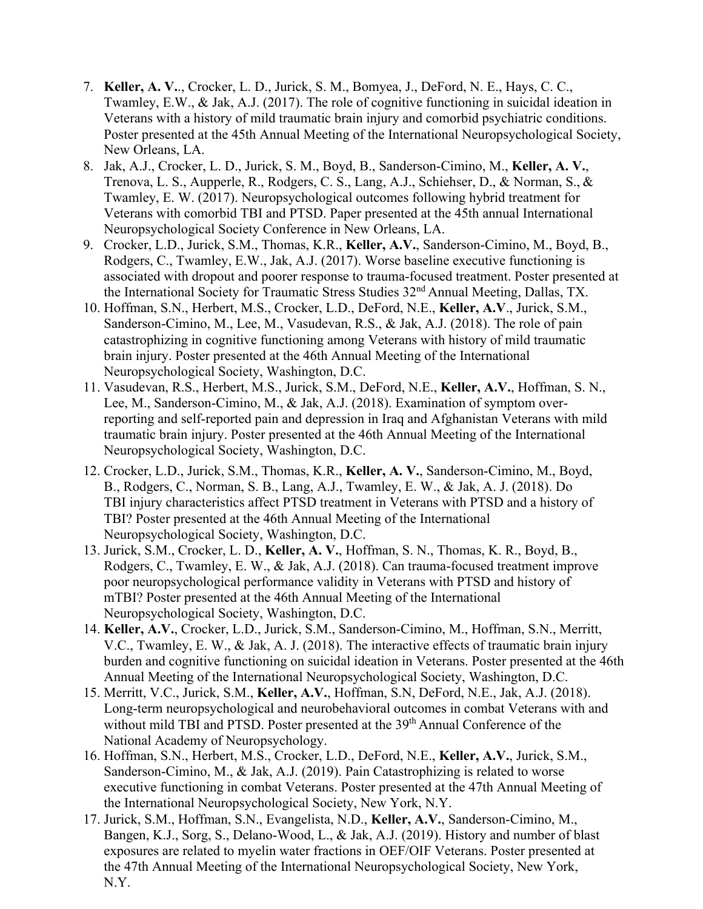- 7. **Keller, A. V.**., Crocker, L. D., Jurick, S. M., Bomyea, J., DeFord, N. E., Hays, C. C., Twamley, E.W., & Jak, A.J. (2017). The role of cognitive functioning in suicidal ideation in Veterans with a history of mild traumatic brain injury and comorbid psychiatric conditions. Poster presented at the 45th Annual Meeting of the International Neuropsychological Society, New Orleans, LA.
- 8. Jak, A.J., Crocker, L. D., Jurick, S. M., Boyd, B., Sanderson-Cimino, M., **Keller, A. V.**, Trenova, L. S., Aupperle, R., Rodgers, C. S., Lang, A.J., Schiehser, D., & Norman, S., & Twamley, E. W. (2017). Neuropsychological outcomes following hybrid treatment for Veterans with comorbid TBI and PTSD. Paper presented at the 45th annual International Neuropsychological Society Conference in New Orleans, LA.
- 9. Crocker, L.D., Jurick, S.M., Thomas, K.R., **Keller, A.V.**, Sanderson-Cimino, M., Boyd, B., Rodgers, C., Twamley, E.W., Jak, A.J. (2017). Worse baseline executive functioning is associated with dropout and poorer response to trauma-focused treatment. Poster presented at the International Society for Traumatic Stress Studies 32nd Annual Meeting, Dallas, TX.
- 10. Hoffman, S.N., Herbert, M.S., Crocker, L.D., DeFord, N.E., **Keller, A.V**., Jurick, S.M., Sanderson-Cimino, M., Lee, M., Vasudevan, R.S., & Jak, A.J. (2018). The role of pain catastrophizing in cognitive functioning among Veterans with history of mild traumatic brain injury. Poster presented at the 46th Annual Meeting of the International Neuropsychological Society, Washington, D.C.
- 11. Vasudevan, R.S., Herbert, M.S., Jurick, S.M., DeFord, N.E., **Keller, A.V.**, Hoffman, S. N., Lee, M., Sanderson-Cimino, M., & Jak, A.J. (2018). Examination of symptom overreporting and self-reported pain and depression in Iraq and Afghanistan Veterans with mild traumatic brain injury. Poster presented at the 46th Annual Meeting of the International Neuropsychological Society, Washington, D.C.
- 12. Crocker, L.D., Jurick, S.M., Thomas, K.R., **Keller, A. V.**, Sanderson-Cimino, M., Boyd, B., Rodgers, C., Norman, S. B., Lang, A.J., Twamley, E. W., & Jak, A. J. (2018). Do TBI injury characteristics affect PTSD treatment in Veterans with PTSD and a history of TBI? Poster presented at the 46th Annual Meeting of the International Neuropsychological Society, Washington, D.C.
- 13. Jurick, S.M., Crocker, L. D., **Keller, A. V.**, Hoffman, S. N., Thomas, K. R., Boyd, B., Rodgers, C., Twamley, E. W., & Jak, A.J. (2018). Can trauma-focused treatment improve poor neuropsychological performance validity in Veterans with PTSD and history of mTBI? Poster presented at the 46th Annual Meeting of the International Neuropsychological Society, Washington, D.C.
- 14. **Keller, A.V.**, Crocker, L.D., Jurick, S.M., Sanderson-Cimino, M., Hoffman, S.N., Merritt, V.C., Twamley, E. W., & Jak, A. J. (2018). The interactive effects of traumatic brain injury burden and cognitive functioning on suicidal ideation in Veterans. Poster presented at the 46th Annual Meeting of the International Neuropsychological Society, Washington, D.C.
- 15. Merritt, V.C., Jurick, S.M., **Keller, A.V.**, Hoffman, S.N, DeFord, N.E., Jak, A.J. (2018). Long-term neuropsychological and neurobehavioral outcomes in combat Veterans with and without mild TBI and PTSD. Poster presented at the 39<sup>th</sup> Annual Conference of the National Academy of Neuropsychology.
- 16. Hoffman, S.N., Herbert, M.S., Crocker, L.D., DeFord, N.E., **Keller, A.V.**, Jurick, S.M., Sanderson-Cimino, M., & Jak, A.J. (2019). Pain Catastrophizing is related to worse executive functioning in combat Veterans. Poster presented at the 47th Annual Meeting of the International Neuropsychological Society, New York, N.Y.
- 17. Jurick, S.M., Hoffman, S.N., Evangelista, N.D., **Keller, A.V.**, Sanderson-Cimino, M., Bangen, K.J., Sorg, S., Delano-Wood, L., & Jak, A.J. (2019). History and number of blast exposures are related to myelin water fractions in OEF/OIF Veterans. Poster presented at the 47th Annual Meeting of the International Neuropsychological Society, New York, N.Y.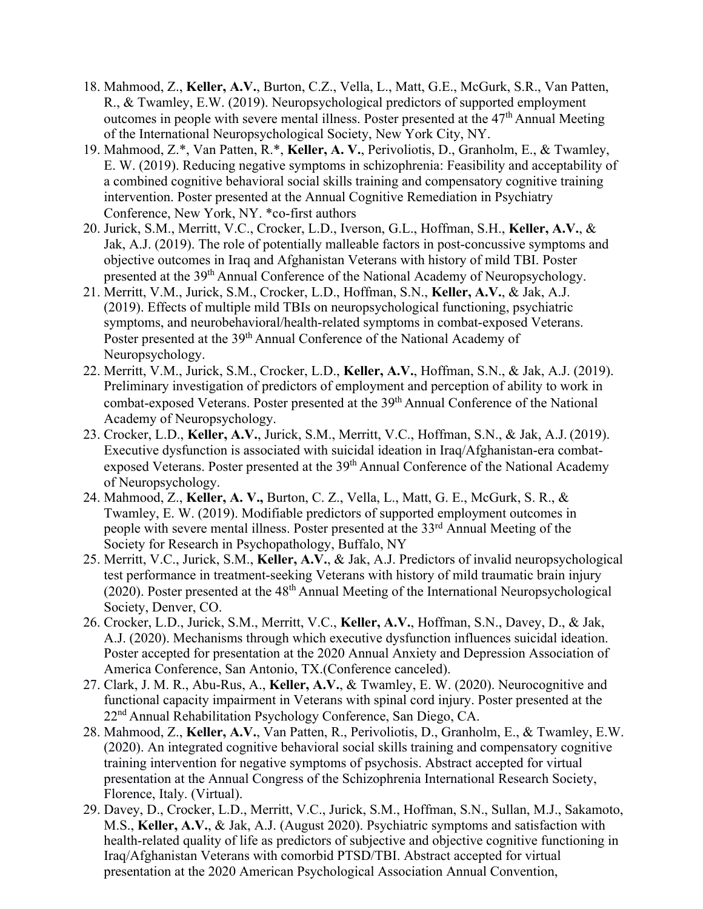- 18. Mahmood, Z., **Keller, A.V.**, Burton, C.Z., Vella, L., Matt, G.E., McGurk, S.R., Van Patten, R., & Twamley, E.W. (2019). Neuropsychological predictors of supported employment outcomes in people with severe mental illness. Poster presented at the  $47<sup>th</sup>$  Annual Meeting of the International Neuropsychological Society, New York City, NY.
- 19. Mahmood, Z.\*, Van Patten, R.\*, **Keller, A. V.**, Perivoliotis, D., Granholm, E., & Twamley, E. W. (2019). Reducing negative symptoms in schizophrenia: Feasibility and acceptability of a combined cognitive behavioral social skills training and compensatory cognitive training intervention. Poster presented at the Annual Cognitive Remediation in Psychiatry Conference, New York, NY. \*co-first authors
- 20. Jurick, S.M., Merritt, V.C., Crocker, L.D., Iverson, G.L., Hoffman, S.H., **Keller, A.V.**, & Jak, A.J. (2019). The role of potentially malleable factors in post-concussive symptoms and objective outcomes in Iraq and Afghanistan Veterans with history of mild TBI. Poster presented at the 39th Annual Conference of the National Academy of Neuropsychology.
- 21. Merritt, V.M., Jurick, S.M., Crocker, L.D., Hoffman, S.N., **Keller, A.V.**, & Jak, A.J. (2019). Effects of multiple mild TBIs on neuropsychological functioning, psychiatric symptoms, and neurobehavioral/health-related symptoms in combat-exposed Veterans. Poster presented at the 39<sup>th</sup> Annual Conference of the National Academy of Neuropsychology.
- 22. Merritt, V.M., Jurick, S.M., Crocker, L.D., **Keller, A.V.**, Hoffman, S.N., & Jak, A.J. (2019). Preliminary investigation of predictors of employment and perception of ability to work in combat-exposed Veterans. Poster presented at the 39<sup>th</sup> Annual Conference of the National Academy of Neuropsychology.
- 23. Crocker, L.D., **Keller, A.V.**, Jurick, S.M., Merritt, V.C., Hoffman, S.N., & Jak, A.J. (2019). Executive dysfunction is associated with suicidal ideation in Iraq/Afghanistan-era combatexposed Veterans. Poster presented at the 39<sup>th</sup> Annual Conference of the National Academy of Neuropsychology.
- 24. Mahmood, Z., **Keller, A. V.,** Burton, C. Z., Vella, L., Matt, G. E., McGurk, S. R., & Twamley, E. W. (2019). Modifiable predictors of supported employment outcomes in people with severe mental illness. Poster presented at the 33rd Annual Meeting of the Society for Research in Psychopathology, Buffalo, NY
- 25. Merritt, V.C., Jurick, S.M., **Keller, A.V.**, & Jak, A.J. Predictors of invalid neuropsychological test performance in treatment-seeking Veterans with history of mild traumatic brain injury (2020). Poster presented at the  $48<sup>th</sup>$  Annual Meeting of the International Neuropsychological Society, Denver, CO.
- 26. Crocker, L.D., Jurick, S.M., Merritt, V.C., **Keller, A.V.**, Hoffman, S.N., Davey, D., & Jak, A.J. (2020). Mechanisms through which executive dysfunction influences suicidal ideation. Poster accepted for presentation at the 2020 Annual Anxiety and Depression Association of America Conference, San Antonio, TX.(Conference canceled).
- 27. Clark, J. M. R., Abu-Rus, A., **Keller, A.V.**, & Twamley, E. W. (2020). Neurocognitive and functional capacity impairment in Veterans with spinal cord injury. Poster presented at the 22nd Annual Rehabilitation Psychology Conference, San Diego, CA.
- 28. Mahmood, Z., **Keller, A.V.**, Van Patten, R., Perivoliotis, D., Granholm, E., & Twamley, E.W. (2020). An integrated cognitive behavioral social skills training and compensatory cognitive training intervention for negative symptoms of psychosis. Abstract accepted for virtual presentation at the Annual Congress of the Schizophrenia International Research Society, Florence, Italy. (Virtual).
- 29. Davey, D., Crocker, L.D., Merritt, V.C., Jurick, S.M., Hoffman, S.N., Sullan, M.J., Sakamoto, M.S., **Keller, A.V.**, & Jak, A.J. (August 2020). Psychiatric symptoms and satisfaction with health-related quality of life as predictors of subjective and objective cognitive functioning in Iraq/Afghanistan Veterans with comorbid PTSD/TBI. Abstract accepted for virtual presentation at the 2020 American Psychological Association Annual Convention,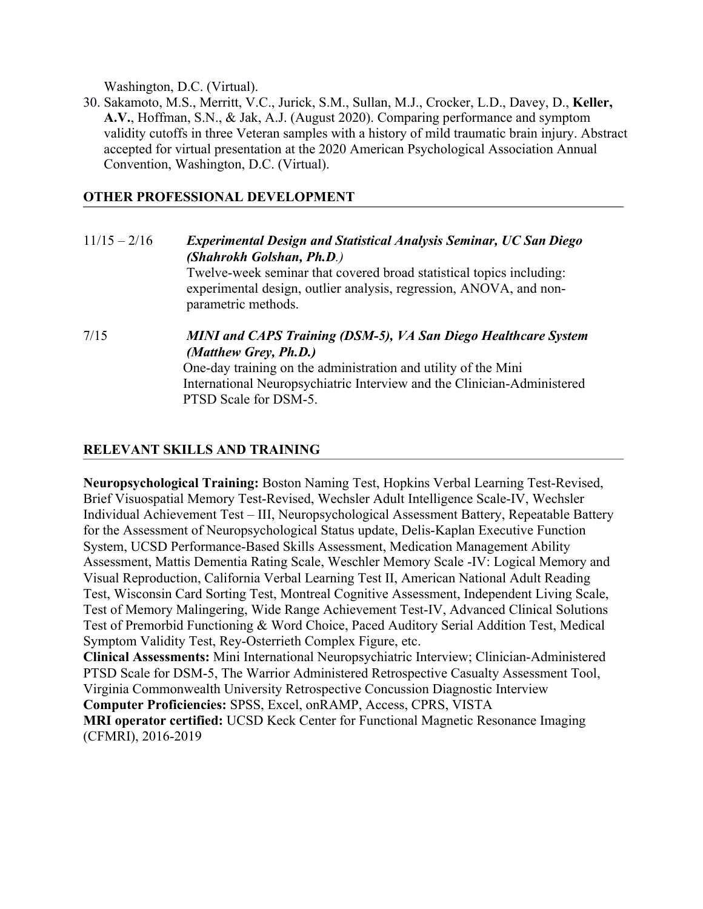Washington, D.C. (Virtual).

30. Sakamoto, M.S., Merritt, V.C., Jurick, S.M., Sullan, M.J., Crocker, L.D., Davey, D., **Keller, A.V.**, Hoffman, S.N., & Jak, A.J. (August 2020). Comparing performance and symptom validity cutoffs in three Veteran samples with a history of mild traumatic brain injury. Abstract accepted for virtual presentation at the 2020 American Psychological Association Annual Convention, Washington, D.C. (Virtual).

## **OTHER PROFESSIONAL DEVELOPMENT**

# 11/15 – 2/16 *Experimental Design and Statistical Analysis Seminar, UC San Diego (Shahrokh Golshan, Ph.D.)* Twelve-week seminar that covered broad statistical topics including: experimental design, outlier analysis, regression, ANOVA, and nonparametric methods. 7/15 *MINI and CAPS Training (DSM-5), VA San Diego Healthcare System (Matthew Grey, Ph.D.)* One-day training on the administration and utility of the Mini International Neuropsychiatric Interview and the Clinician-Administered PTSD Scale for DSM-5.

## **RELEVANT SKILLS AND TRAINING**

**Neuropsychological Training:** Boston Naming Test, Hopkins Verbal Learning Test-Revised, Brief Visuospatial Memory Test-Revised, Wechsler Adult Intelligence Scale-IV, Wechsler Individual Achievement Test – III, Neuropsychological Assessment Battery, Repeatable Battery for the Assessment of Neuropsychological Status update, Delis-Kaplan Executive Function System, UCSD Performance-Based Skills Assessment, Medication Management Ability Assessment, Mattis Dementia Rating Scale, Weschler Memory Scale -IV: Logical Memory and Visual Reproduction, California Verbal Learning Test II, American National Adult Reading Test, Wisconsin Card Sorting Test, Montreal Cognitive Assessment, Independent Living Scale, Test of Memory Malingering, Wide Range Achievement Test-IV, Advanced Clinical Solutions Test of Premorbid Functioning & Word Choice, Paced Auditory Serial Addition Test, Medical Symptom Validity Test, Rey-Osterrieth Complex Figure, etc.

**Clinical Assessments:** Mini International Neuropsychiatric Interview; Clinician-Administered PTSD Scale for DSM-5, The Warrior Administered Retrospective Casualty Assessment Tool, Virginia Commonwealth University Retrospective Concussion Diagnostic Interview

**Computer Proficiencies:** SPSS, Excel, onRAMP, Access, CPRS, VISTA

**MRI operator certified:** UCSD Keck Center for Functional Magnetic Resonance Imaging (CFMRI), 2016-2019